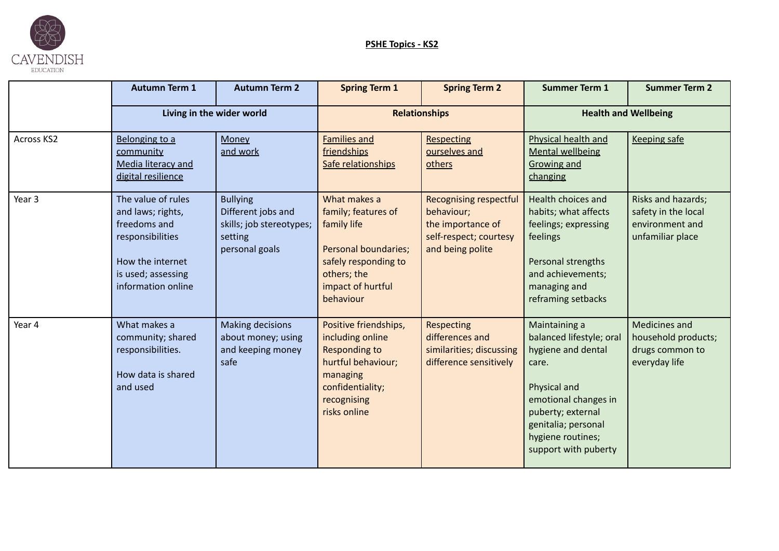

## **PSHE Topics - KS2**

|                   | <b>Autumn Term 1</b>                                                                                                                        | <b>Autumn Term 2</b>                                                                           | <b>Spring Term 1</b>                                                                                                                                       | <b>Spring Term 2</b>                                                                                           | <b>Summer Term 1</b>                                                                                                                                                                                      | <b>Summer Term 2</b>                                                             |
|-------------------|---------------------------------------------------------------------------------------------------------------------------------------------|------------------------------------------------------------------------------------------------|------------------------------------------------------------------------------------------------------------------------------------------------------------|----------------------------------------------------------------------------------------------------------------|-----------------------------------------------------------------------------------------------------------------------------------------------------------------------------------------------------------|----------------------------------------------------------------------------------|
|                   | Living in the wider world                                                                                                                   |                                                                                                | <b>Relationships</b>                                                                                                                                       |                                                                                                                | <b>Health and Wellbeing</b>                                                                                                                                                                               |                                                                                  |
| <b>Across KS2</b> | Belonging to a<br>community<br>Media literacy and<br>digital resilience                                                                     | Money<br>and work                                                                              | <b>Families and</b><br>friendships<br>Safe relationships                                                                                                   | <b>Respecting</b><br>ourselves and<br>others                                                                   | Physical health and<br><b>Mental wellbeing</b><br>Growing and<br>changing                                                                                                                                 | Keeping safe                                                                     |
| Year 3            | The value of rules<br>and laws; rights,<br>freedoms and<br>responsibilities<br>How the internet<br>is used; assessing<br>information online | <b>Bullying</b><br>Different jobs and<br>skills; job stereotypes;<br>setting<br>personal goals | What makes a<br>family; features of<br>family life<br><b>Personal boundaries;</b><br>safely responding to<br>others; the<br>impact of hurtful<br>behaviour | <b>Recognising respectful</b><br>behaviour;<br>the importance of<br>self-respect; courtesy<br>and being polite | Health choices and<br>habits; what affects<br>feelings; expressing<br>feelings<br>Personal strengths<br>and achievements;<br>managing and<br>reframing setbacks                                           | Risks and hazards;<br>safety in the local<br>environment and<br>unfamiliar place |
| Year 4            | What makes a<br>community; shared<br>responsibilities.<br>How data is shared<br>and used                                                    | Making decisions<br>about money; using<br>and keeping money<br>safe                            | Positive friendships,<br>including online<br><b>Responding to</b><br>hurtful behaviour;<br>managing<br>confidentiality;<br>recognising<br>risks online     | <b>Respecting</b><br>differences and<br>similarities; discussing<br>difference sensitively                     | Maintaining a<br>balanced lifestyle; oral<br>hygiene and dental<br>care.<br>Physical and<br>emotional changes in<br>puberty; external<br>genitalia; personal<br>hygiene routines;<br>support with puberty | Medicines and<br>household products;<br>drugs common to<br>everyday life         |